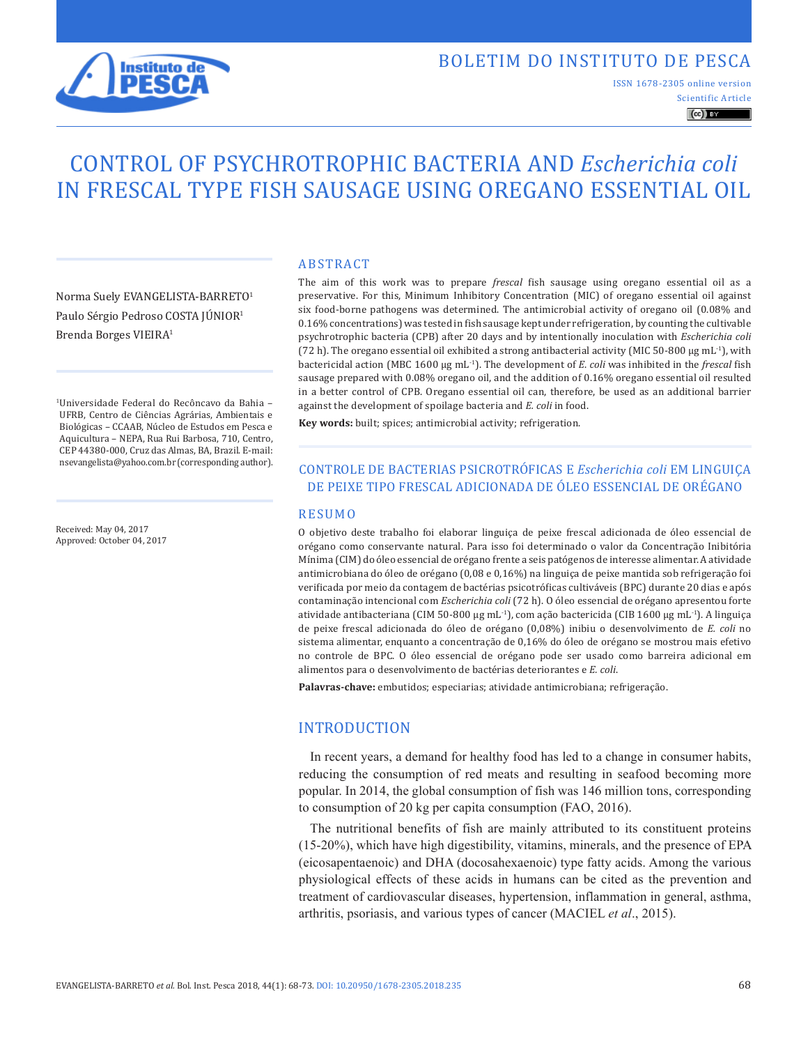

## BOLETIM DO INSTITUTO DE PESCA

Scientific Article ISSN 1678-2305 online version

 $\left(\mathrm{cc}\right)$  BY

# CONTROL OF PSYCHROTROPHIC BACTERIA AND *Escherichia coli* IN FRESCAL TYPE FISH SAUSAGE USING OREGANO ESSENTIAL OIL

Norma Suely EVANGELISTA-BARRETO1 Paulo Sérgio Pedroso COSTA JÚNIOR1 Brenda Borges VIEIRA1

1Universidade Federal do Recôncavo da Bahia – UFRB, Centro de Ciências Agrárias, Ambientais e Biológicas – CCAAB, Núcleo de Estudos em Pesca e Aquicultura – NEPA, Rua Rui Barbosa, 710, Centro, CEP 44380-000, Cruz das Almas, BA, Brazil. E-mail: nsevangelista@yahoo.com.br (corresponding author).

Received: May 04, 2017 Approved: October 04, 2017

#### ABSTRACT

The aim of this work was to prepare *frescal* fish sausage using oregano essential oil as a preservative. For this, Minimum Inhibitory Concentration (MIC) of oregano essential oil against six food-borne pathogens was determined. The antimicrobial activity of oregano oil (0.08% and 0.16% concentrations) was tested in fish sausage kept under refrigeration, by counting the cultivable psychrotrophic bacteria (CPB) after 20 days and by intentionally inoculation with *Escherichia coli* (72 h). The oregano essential oil exhibited a strong antibacterial activity (MIC 50-800  $\mu$ g mL<sup>-1</sup>), with bactericidal action (MBC 1600 μg mL-1). The development of *E*. *coli* was inhibited in the *frescal* fish sausage prepared with 0.08% oregano oil, and the addition of 0.16% oregano essential oil resulted in a better control of CPB. Oregano essential oil can, therefore, be used as an additional barrier against the development of spoilage bacteria and *E. coli* in food.

**Key words:** built; spices; antimicrobial activity; refrigeration.

## CONTROLE DE BACTERIAS PSICROTRÓFICAS E *Escherichia coli* EM LINGUIÇA DE PEIXE TIPO FRESCAL ADICIONADA DE ÓLEO ESSENCIAL DE ORÉGANO

#### RESUMO

O objetivo deste trabalho foi elaborar linguiça de peixe frescal adicionada de óleo essencial de orégano como conservante natural. Para isso foi determinado o valor da Concentração Inibitória Mínima (CIM) do óleo essencial de orégano frente a seis patógenos de interesse alimentar. A atividade antimicrobiana do óleo de orégano (0,08 e 0,16%) na linguiça de peixe mantida sob refrigeração foi verificada por meio da contagem de bactérias psicotróficas cultiváveis (BPC) durante 20 dias e após contaminação intencional com *Escherichia coli* (72 h). O óleo essencial de orégano apresentou forte atividade antibacteriana (CIM 50-800 μg mL-1), com ação bactericida (CIB 1600 μg mL-1). A linguiça de peixe frescal adicionada do óleo de orégano (0,08%) inibiu o desenvolvimento de *E. coli* no sistema alimentar, enquanto a concentração de 0,16% do óleo de orégano se mostrou mais efetivo no controle de BPC. O óleo essencial de orégano pode ser usado como barreira adicional em alimentos para o desenvolvimento de bactérias deteriorantes e *E. coli*.

**Palavras-chave:** embutidos; especiarias; atividade antimicrobiana; refrigeração.

#### INTRODUCTION

In recent years, a demand for healthy food has led to a change in consumer habits, reducing the consumption of red meats and resulting in seafood becoming more popular. In 2014, the global consumption of fish was 146 million tons, corresponding to consumption of 20 kg per capita consumption (FAO, 2016).

The nutritional benefits of fish are mainly attributed to its constituent proteins (15-20%), which have high digestibility, vitamins, minerals, and the presence of EPA (eicosapentaenoic) and DHA (docosahexaenoic) type fatty acids. Among the various physiological effects of these acids in humans can be cited as the prevention and treatment of cardiovascular diseases, hypertension, inflammation in general, asthma, arthritis, psoriasis, and various types of cancer (MACIEL *et al*., 2015).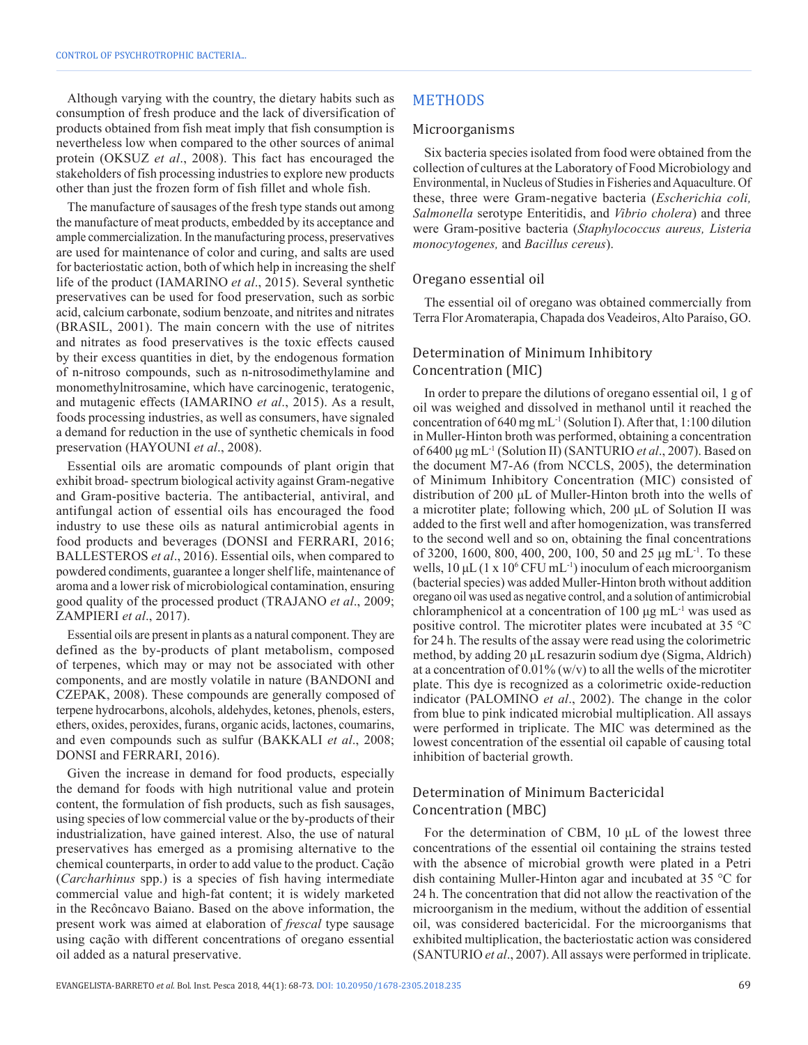Although varying with the country, the dietary habits such as consumption of fresh produce and the lack of diversification of products obtained from fish meat imply that fish consumption is nevertheless low when compared to the other sources of animal protein (OKSUZ *et al*., 2008). This fact has encouraged the stakeholders of fish processing industries to explore new products other than just the frozen form of fish fillet and whole fish.

The manufacture of sausages of the fresh type stands out among the manufacture of meat products, embedded by its acceptance and ample commercialization. In the manufacturing process, preservatives are used for maintenance of color and curing, and salts are used for bacteriostatic action, both of which help in increasing the shelf life of the product (IAMARINO *et al*., 2015). Several synthetic preservatives can be used for food preservation, such as sorbic acid, calcium carbonate, sodium benzoate, and nitrites and nitrates (BRASIL, 2001). The main concern with the use of nitrites and nitrates as food preservatives is the toxic effects caused by their excess quantities in diet, by the endogenous formation of n-nitroso compounds, such as n-nitrosodimethylamine and monomethylnitrosamine, which have carcinogenic, teratogenic, and mutagenic effects (IAMARINO *et al*., 2015). As a result, foods processing industries, as well as consumers, have signaled a demand for reduction in the use of synthetic chemicals in food preservation (HAYOUNI *et al*., 2008).

Essential oils are aromatic compounds of plant origin that exhibit broad- spectrum biological activity against Gram-negative and Gram-positive bacteria. The antibacterial, antiviral, and antifungal action of essential oils has encouraged the food industry to use these oils as natural antimicrobial agents in food products and beverages (DONSI and FERRARI, 2016; BALLESTEROS *et al*., 2016). Essential oils, when compared to powdered condiments, guarantee a longer shelf life, maintenance of aroma and a lower risk of microbiological contamination, ensuring good quality of the processed product (TRAJANO *et al*., 2009; ZAMPIERI *et al*., 2017).

Essential oils are present in plants as a natural component. They are defined as the by-products of plant metabolism, composed of terpenes, which may or may not be associated with other components, and are mostly volatile in nature (BANDONI and CZEPAK, 2008). These compounds are generally composed of terpene hydrocarbons, alcohols, aldehydes, ketones, phenols, esters, ethers, oxides, peroxides, furans, organic acids, lactones, coumarins, and even compounds such as sulfur (BAKKALI *et al*., 2008; DONSI and FERRARI, 2016).

Given the increase in demand for food products, especially the demand for foods with high nutritional value and protein content, the formulation of fish products, such as fish sausages, using species of low commercial value or the by-products of their industrialization, have gained interest. Also, the use of natural preservatives has emerged as a promising alternative to the chemical counterparts, in order to add value to the product. Cação (*Carcharhinus* spp.) is a species of fish having intermediate commercial value and high-fat content; it is widely marketed in the Recôncavo Baiano. Based on the above information, the present work was aimed at elaboration of *frescal* type sausage using cação with different concentrations of oregano essential oil added as a natural preservative.

## METHODS

#### Microorganisms

Six bacteria species isolated from food were obtained from the collection of cultures at the Laboratory of Food Microbiology and Environmental, in Nucleus of Studies in Fisheries and Aquaculture. Of these, three were Gram-negative bacteria (*Escherichia coli, Salmonella* serotype Enteritidis, and *Vibrio cholera*) and three were Gram-positive bacteria (*Staphylococcus aureus, Listeria monocytogenes,* and *Bacillus cereus*).

#### Oregano essential oil

The essential oil of oregano was obtained commercially from Terra Flor Aromaterapia, Chapada dos Veadeiros, Alto Paraíso, GO.

## Determination of Minimum Inhibitory Concentration (MIC)

In order to prepare the dilutions of oregano essential oil, 1 g of oil was weighed and dissolved in methanol until it reached the concentration of 640 mg mL-1 (Solution I). After that, 1:100 dilution in Muller-Hinton broth was performed, obtaining a concentration of 6400 μg mL-1 (Solution II) (SANTURIO *et al*., 2007). Based on the document M7-A6 (from NCCLS, 2005), the determination of Minimum Inhibitory Concentration (MIC) consisted of distribution of 200 μL of Muller-Hinton broth into the wells of a microtiter plate; following which, 200 μL of Solution II was added to the first well and after homogenization, was transferred to the second well and so on, obtaining the final concentrations of 3200, 1600, 800, 400, 200, 100, 50 and 25  $\mu$ g mL<sup>-1</sup>. To these wells,  $10 \mu L$  (1 x  $10^6$  CFU mL<sup>-1</sup>) inoculum of each microorganism (bacterial species) was added Muller-Hinton broth without addition oregano oil was used as negative control, and a solution of antimicrobial chloramphenicol at a concentration of 100 μg mL-1 was used as positive control. The microtiter plates were incubated at 35 °C for 24 h. The results of the assay were read using the colorimetric method, by adding 20 μL resazurin sodium dye (Sigma, Aldrich) at a concentration of  $0.01\%$  (w/v) to all the wells of the microtiter plate. This dye is recognized as a colorimetric oxide-reduction indicator (PALOMINO *et al*., 2002). The change in the color from blue to pink indicated microbial multiplication. All assays were performed in triplicate. The MIC was determined as the lowest concentration of the essential oil capable of causing total inhibition of bacterial growth.

## Determination of Minimum Bactericidal Concentration (MBC)

For the determination of CBM, 10 μL of the lowest three concentrations of the essential oil containing the strains tested with the absence of microbial growth were plated in a Petri dish containing Muller-Hinton agar and incubated at 35 °C for 24 h. The concentration that did not allow the reactivation of the microorganism in the medium, without the addition of essential oil, was considered bactericidal. For the microorganisms that exhibited multiplication, the bacteriostatic action was considered (SANTURIO *et al*., 2007). All assays were performed in triplicate.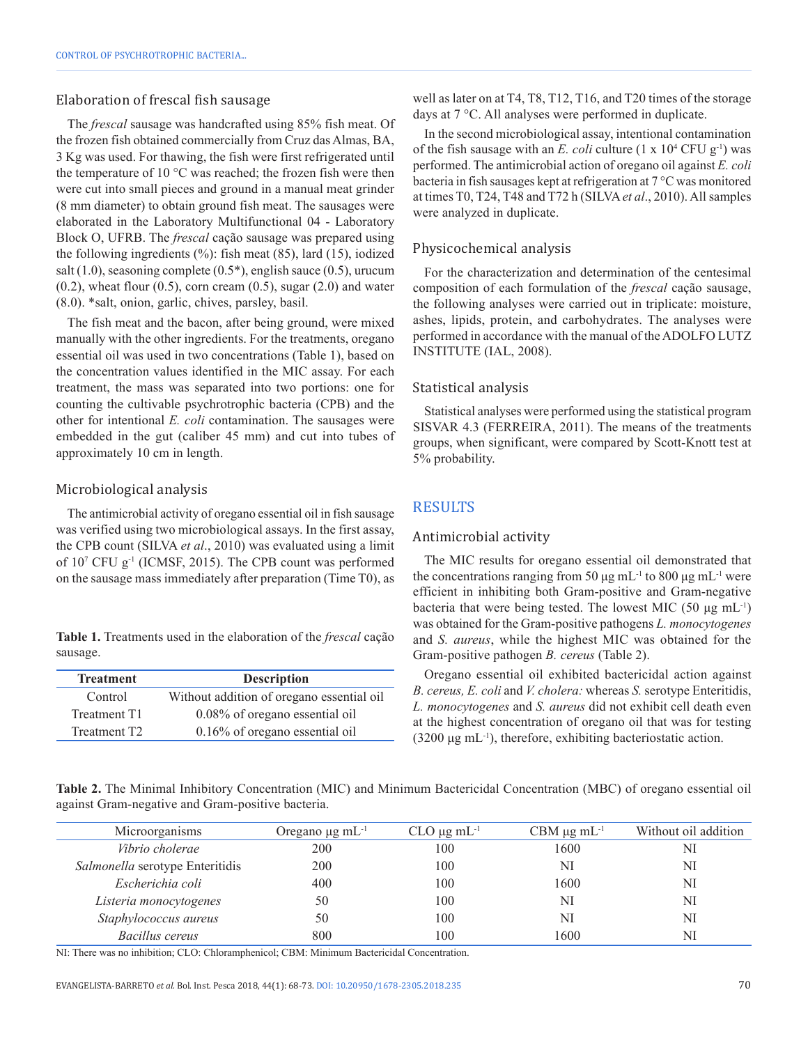#### Elaboration of frescal fish sausage

The *frescal* sausage was handcrafted using 85% fish meat. Of the frozen fish obtained commercially from Cruz das Almas, BA, 3 Kg was used. For thawing, the fish were first refrigerated until the temperature of 10 °C was reached; the frozen fish were then were cut into small pieces and ground in a manual meat grinder (8 mm diameter) to obtain ground fish meat. The sausages were elaborated in the Laboratory Multifunctional 04 - Laboratory Block O, UFRB. The *frescal* cação sausage was prepared using the following ingredients (%): fish meat (85), lard (15), iodized salt (1.0), seasoning complete (0.5\*), english sauce (0.5), urucum  $(0.2)$ , wheat flour  $(0.5)$ , corn cream  $(0.5)$ , sugar  $(2.0)$  and water (8.0). \*salt, onion, garlic, chives, parsley, basil.

The fish meat and the bacon, after being ground, were mixed manually with the other ingredients. For the treatments, oregano essential oil was used in two concentrations (Table 1), based on the concentration values identified in the MIC assay. For each treatment, the mass was separated into two portions: one for counting the cultivable psychrotrophic bacteria (CPB) and the other for intentional *E. coli* contamination. The sausages were embedded in the gut (caliber 45 mm) and cut into tubes of approximately 10 cm in length.

#### Microbiological analysis

The antimicrobial activity of oregano essential oil in fish sausage was verified using two microbiological assays. In the first assay, the CPB count (SILVA *et al*., 2010) was evaluated using a limit of 107 CFU g-1 (ICMSF, 2015). The CPB count was performed on the sausage mass immediately after preparation (Time T0), as

**Table 1.** Treatments used in the elaboration of the *frescal* cação sausage.

| <b>Treatment</b>         | <b>Description</b>                        |
|--------------------------|-------------------------------------------|
| Control                  | Without addition of oregano essential oil |
| Treatment T1             | 0.08% of oregano essential oil            |
| Treatment T <sub>2</sub> | $0.16\%$ of oregano essential oil         |

well as later on at T4, T8, T12, T16, and T20 times of the storage days at 7 °C. All analyses were performed in duplicate.

In the second microbiological assay, intentional contamination of the fish sausage with an *E. coli* culture  $(1 \times 10^4 \text{ CFU g}^{-1})$  was performed. The antimicrobial action of oregano oil against *E. coli* bacteria in fish sausages kept at refrigeration at 7 °C was monitored at times T0, T24, T48 and T72 h (SILVA*et al*., 2010). All samples were analyzed in duplicate.

#### Physicochemical analysis

For the characterization and determination of the centesimal composition of each formulation of the *frescal* cação sausage, the following analyses were carried out in triplicate: moisture, ashes, lipids, protein, and carbohydrates. The analyses were performed in accordance with the manual of the ADOLFO LUTZ INSTITUTE (IAL, 2008).

#### Statistical analysis

Statistical analyses were performed using the statistical program SISVAR 4.3 (FERREIRA, 2011). The means of the treatments groups, when significant, were compared by Scott-Knott test at 5% probability.

## RESULTS

#### Antimicrobial activity

The MIC results for oregano essential oil demonstrated that the concentrations ranging from 50 μg mL<sup>-1</sup> to 800 μg mL<sup>-1</sup> were efficient in inhibiting both Gram-positive and Gram-negative bacteria that were being tested. The lowest MIC (50 μg mL-1) was obtained for the Gram-positive pathogens *L. monocytogenes* and *S. aureus*, while the highest MIC was obtained for the Gram-positive pathogen *B. cereus* (Table 2).

Oregano essential oil exhibited bactericidal action against *B. cereus, E. coli* and *V. cholera:* whereas *S.* serotype Enteritidis, *L. monocytogenes* and *S. aureus* did not exhibit cell death even at the highest concentration of oregano oil that was for testing  $(3200 \mu g$  mL<sup>-1</sup>), therefore, exhibiting bacteriostatic action.

**Table 2.** The Minimal Inhibitory Concentration (MIC) and Minimum Bactericidal Concentration (MBC) of oregano essential oil against Gram-negative and Gram-positive bacteria.

| Oregano $\mu$ g mL <sup>-1</sup> | $CLO \mu g \, mL^{-1}$ | CBM $\mu$ g mL <sup>-1</sup> | Without oil addition |
|----------------------------------|------------------------|------------------------------|----------------------|
| 200                              | 100                    | 1600                         | NI                   |
| 200                              | 100                    | NI                           | NI                   |
| 400                              | 100                    | 1600                         | NI                   |
| 50                               | 100                    | NI                           | NI                   |
| 50                               | 100                    | NI                           | NI                   |
| 800                              | 100                    | 1600                         | NI                   |
|                                  |                        |                              |                      |

NI: There was no inhibition; CLO: Chloramphenicol; CBM: Minimum Bactericidal Concentration.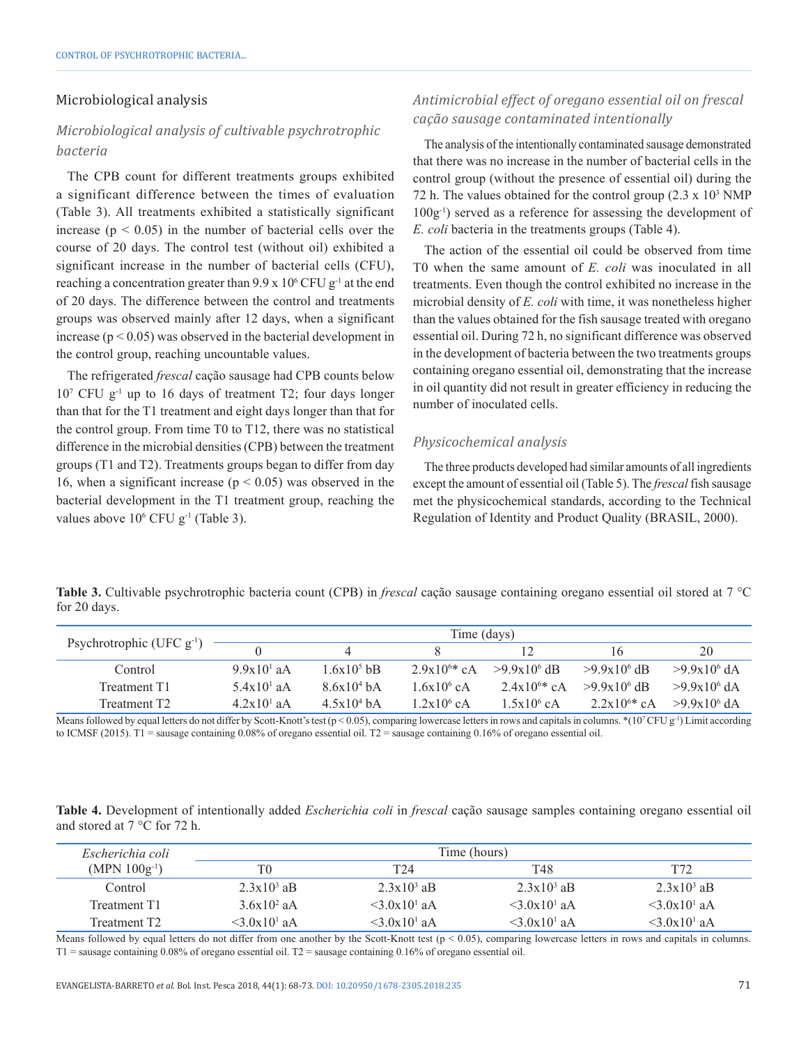#### Microbiological analysis

## *Microbiological analysis of cultivable psychrotrophic bacteria*

The CPB count for different treatments groups exhibited a significant difference between the times of evaluation (Table 3). All treatments exhibited a statistically significant increase ( $p < 0.05$ ) in the number of bacterial cells over the course of 20 days. The control test (without oil) exhibited a significant increase in the number of bacterial cells (CFU), reaching a concentration greater than  $9.9 \times 10^6$  CFU g<sup>-1</sup> at the end of 20 days. The difference between the control and treatments groups was observed mainly after 12 days, when a significant increase ( $p < 0.05$ ) was observed in the bacterial development in the control group, reaching uncountable values.

The refrigerated *frescal* cação sausage had CPB counts below 107 CFU g-1 up to 16 days of treatment T2; four days longer than that for the T1 treatment and eight days longer than that for the control group. From time T0 to T12, there was no statistical difference in the microbial densities (CPB) between the treatment groups (T1 and T2). Treatments groups began to differ from day 16, when a significant increase ( $p < 0.05$ ) was observed in the bacterial development in the T1 treatment group, reaching the values above  $10^6$  CFU g<sup>-1</sup> (Table 3).

## *Antimicrobial effect of oregano essential oil on frescal cação sausage contaminated intentionally*

The analysis of the intentionally contaminated sausage demonstrated that there was no increase in the number of bacterial cells in the control group (without the presence of essential oil) during the 72 h. The values obtained for the control group  $(2.3 \times 10^3 \text{ NMP})$ 100g-1) served as a reference for assessing the development of *E. coli* bacteria in the treatments groups (Table 4).

The action of the essential oil could be observed from time T0 when the same amount of *E. coli* was inoculated in all treatments. Even though the control exhibited no increase in the microbial density of *E. coli* with time, it was nonetheless higher than the values obtained for the fish sausage treated with oregano essential oil. During 72 h, no significant difference was observed in the development of bacteria between the two treatments groups containing oregano essential oil, demonstrating that the increase in oil quantity did not result in greater efficiency in reducing the number of inoculated cells.

#### *Physicochemical analysis*

The three products developed had similar amounts of all ingredients except the amount of essential oil (Table 5). The *frescal* fish sausage met the physicochemical standards, according to the Technical Regulation of Identity and Product Quality (BRASIL, 2000).

**Table 3.** Cultivable psychrotrophic bacteria count (CPB) in *frescal* cação sausage containing oregano essential oil stored at 7 °C for 20 days.

| Psychrotrophic (UFC $g^{-1}$ ) |                        |               | Time (days)      |                  |                  |                  |
|--------------------------------|------------------------|---------------|------------------|------------------|------------------|------------------|
|                                |                        |               |                  |                  | 16               | 20               |
| Control                        | 9.9x10 <sup>1</sup> aA | $1.6x10^5$ bB | $2.9x10^{6*}$ cA | $>9.9x10^{6}$ dB | $>9.9x10^{6}$ dB | $>9.9x10^6$ dA   |
| Treatment T1                   | $5.4x101$ aA           | $8.6x10^4$ bA | $1.6x10^6$ cA    | $2.4x10^{6*}$ cA | $>9.9x10^6$ dB   | $>9.9x10^{6}$ dA |
| Treatment T2                   | $4.2x101$ aA           | $4.5x10^4$ bA | $1.2x10^6$ cA    | $1.5x10^{6}$ cA  | $2.2x10^{6*}$ cA | $>9.9x10^{6}$ dA |

Means followed by equal letters do not differ by Scott-Knott's test ( $p < 0.05$ ), comparing lowercase letters in rows and capitals in columns. \* $(10^7 \text{CFU g}^{-1})$  Limit according to ICMSF (2015). T1 = sausage containing 0.08% of oregano essential oil. T2 = sausage containing 0.16% of oregano essential oil.

**Table 4.** Development of intentionally added *Escherichia coli* in *frescal* cação sausage samples containing oregano essential oil and stored at 7 °C for 72 h.

| Escherichia coli         | Time (hours)               |                            |                            |                      |
|--------------------------|----------------------------|----------------------------|----------------------------|----------------------|
| $(MPN 100g^{-1})$        | T0                         | T <sub>24</sub>            | T48                        | T72                  |
| Control                  | $2.3x10^3$ aB              | $2.3x10^3$ aB              | $2.3x10^3$ aB              | $2.3x10^3$ aB        |
| Treatment T1             | $3.6x10^2$ aA              | $\leq 3.0x10^1$ aA         | $\leq 3.0x10^1$ aA         | $\leq 3.0x10^{1}$ aA |
| Treatment T <sub>2</sub> | $<$ 3.0x10 <sup>1</sup> aA | $<$ 3 0x10 <sup>1</sup> aA | $<$ 3 0x10 <sup>1</sup> aA | $\leq 3.0x10^{1}$ aA |

Means followed by equal letters do not differ from one another by the Scott-Knott test ( $p < 0.05$ ), comparing lowercase letters in rows and capitals in columns. T1 = sausage containing 0.08% of oregano essential oil. T2 = sausage containing 0.16% of oregano essential oil.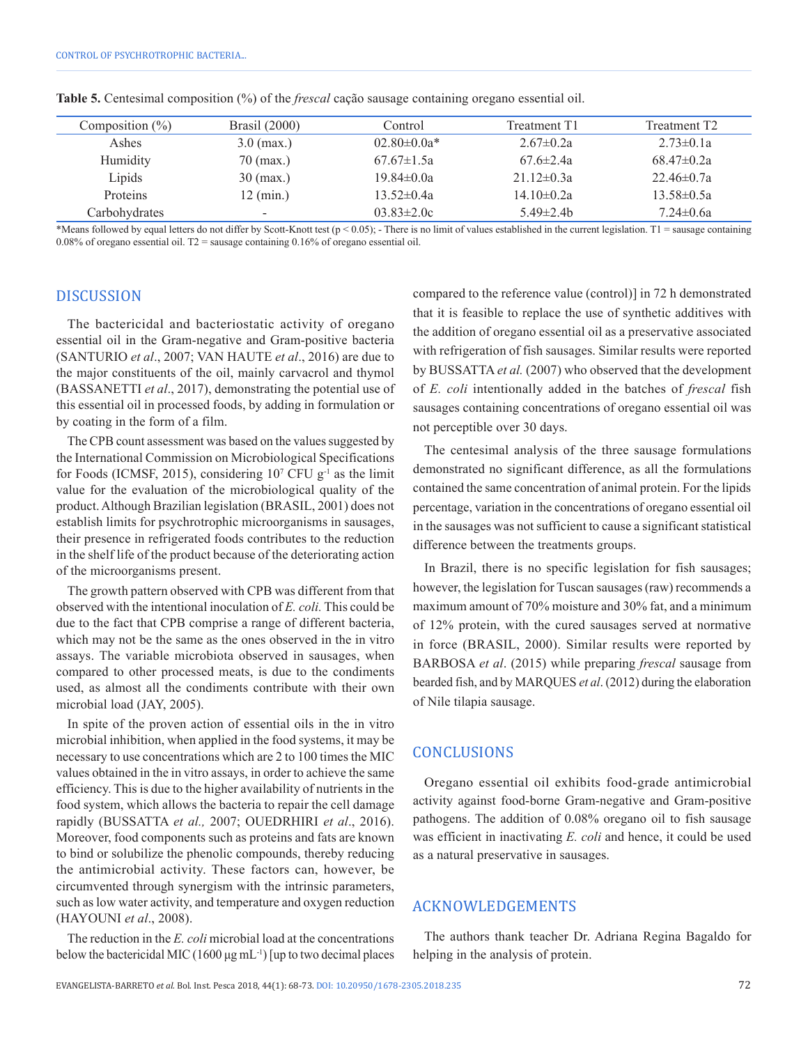| Composition $(\%)$ | Brasil (2000)            | Control            | Treatment T1     | Treatment T <sub>2</sub> |
|--------------------|--------------------------|--------------------|------------------|--------------------------|
| Ashes              | $3.0 \,$ (max.)          | $02.80 \pm 0.0a^*$ | $2.67 \pm 0.2a$  | $2.73 \pm 0.1a$          |
| Humidity           | $70$ (max.)              | $67.67 \pm 1.5a$   | $67.6 \pm 2.4a$  | $68.47\pm0.2a$           |
| Lipids             | $30 \text{ (max.)}$      | $19.84 \pm 0.0a$   | $21.12 \pm 0.3a$ | $22.46 \pm 0.7a$         |
| Proteins           | $12 \text{ (min.)}$      | $13.52 \pm 0.4a$   | $14.10 \pm 0.2a$ | $13.58 \pm 0.5a$         |
| Carbohydrates      | $\overline{\phantom{a}}$ | $03.83 \pm 2.0c$   | $5.49 \pm 2.4$ h | $7.24 \pm 0.6a$          |

**Table 5.** Centesimal composition (%) of the *frescal* cação sausage containing oregano essential oil.

\*Means followed by equal letters do not differ by Scott-Knott test (p < 0.05); - There is no limit of values established in the current legislation. T1 = sausage containing 0.08% of oregano essential oil.  $T2$  = sausage containing 0.16% of oregano essential oil.

#### DISCUSSION

The bactericidal and bacteriostatic activity of oregano essential oil in the Gram-negative and Gram-positive bacteria (SANTURIO *et al*., 2007; VAN HAUTE *et al*., 2016) are due to the major constituents of the oil, mainly carvacrol and thymol (BASSANETTI *et al*., 2017), demonstrating the potential use of this essential oil in processed foods, by adding in formulation or by coating in the form of a film.

The CPB count assessment was based on the values suggested by the International Commission on Microbiological Specifications for Foods (ICMSF, 2015), considering  $10<sup>7</sup>$  CFU g<sup>-1</sup> as the limit value for the evaluation of the microbiological quality of the product. Although Brazilian legislation (BRASIL, 2001) does not establish limits for psychrotrophic microorganisms in sausages, their presence in refrigerated foods contributes to the reduction in the shelf life of the product because of the deteriorating action of the microorganisms present.

The growth pattern observed with CPB was different from that observed with the intentional inoculation of *E. coli.* This could be due to the fact that CPB comprise a range of different bacteria, which may not be the same as the ones observed in the in vitro assays. The variable microbiota observed in sausages, when compared to other processed meats, is due to the condiments used, as almost all the condiments contribute with their own microbial load (JAY, 2005).

In spite of the proven action of essential oils in the in vitro microbial inhibition, when applied in the food systems, it may be necessary to use concentrations which are 2 to 100 times the MIC values obtained in the in vitro assays, in order to achieve the same efficiency. This is due to the higher availability of nutrients in the food system, which allows the bacteria to repair the cell damage rapidly (BUSSATTA *et al.,* 2007; OUEDRHIRI *et al*., 2016). Moreover, food components such as proteins and fats are known to bind or solubilize the phenolic compounds, thereby reducing the antimicrobial activity. These factors can, however, be circumvented through synergism with the intrinsic parameters, such as low water activity, and temperature and oxygen reduction (HAYOUNI *et al*., 2008).

The reduction in the *E. coli* microbial load at the concentrations below the bactericidal MIC (1600  $\mu$ g mL<sup>-1</sup>) [up to two decimal places compared to the reference value (control)] in 72 h demonstrated that it is feasible to replace the use of synthetic additives with the addition of oregano essential oil as a preservative associated with refrigeration of fish sausages. Similar results were reported by BUSSATTA *et al.* (2007) who observed that the development of *E. coli* intentionally added in the batches of *frescal* fish sausages containing concentrations of oregano essential oil was not perceptible over 30 days.

The centesimal analysis of the three sausage formulations demonstrated no significant difference, as all the formulations contained the same concentration of animal protein. For the lipids percentage, variation in the concentrations of oregano essential oil in the sausages was not sufficient to cause a significant statistical difference between the treatments groups.

In Brazil, there is no specific legislation for fish sausages; however, the legislation for Tuscan sausages (raw) recommends a maximum amount of 70% moisture and 30% fat, and a minimum of 12% protein, with the cured sausages served at normative in force (BRASIL, 2000). Similar results were reported by BARBOSA *et al*. (2015) while preparing *frescal* sausage from bearded fish, and by MARQUES *et al*. (2012) during the elaboration of Nile tilapia sausage.

#### CONCLUSIONS

Oregano essential oil exhibits food-grade antimicrobial activity against food-borne Gram-negative and Gram-positive pathogens. The addition of 0.08% oregano oil to fish sausage was efficient in inactivating *E. coli* and hence, it could be used as a natural preservative in sausages.

## ACKNOWLEDGEMENTS

The authors thank teacher Dr. Adriana Regina Bagaldo for helping in the analysis of protein.